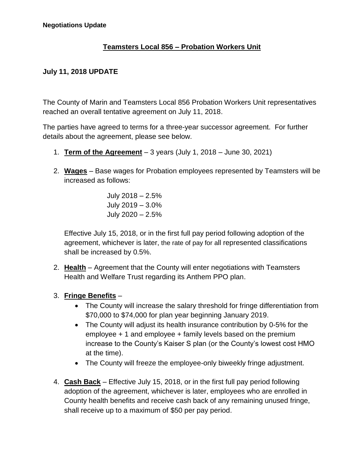## **Teamsters Local 856 – Probation Workers Unit**

## **July 11, 2018 UPDATE**

The County of Marin and Teamsters Local 856 Probation Workers Unit representatives reached an overall tentative agreement on July 11, 2018.

The parties have agreed to terms for a three-year successor agreement. For further details about the agreement, please see below.

- 1. **Term of the Agreement** 3 years (July 1, 2018 June 30, 2021)
- 2. **Wages** Base wages for Probation employees represented by Teamsters will be increased as follows:

July 2018 – 2.5% July 2019 – 3.0% July 2020 – 2.5%

Effective July 15, 2018, or in the first full pay period following adoption of the agreement, whichever is later, the rate of pay for all represented classifications shall be increased by 0.5%.

- 2. **Health** Agreement that the County will enter negotiations with Teamsters Health and Welfare Trust regarding its Anthem PPO plan.
- 3. **Fringe Benefits**
	- The County will increase the salary threshold for fringe differentiation from \$70,000 to \$74,000 for plan year beginning January 2019.
	- The County will adjust its health insurance contribution by 0-5% for the employee + 1 and employee + family levels based on the premium increase to the County's Kaiser S plan (or the County's lowest cost HMO at the time).
	- The County will freeze the employee-only biweekly fringe adjustment.
- 4. **Cash Back** Effective July 15, 2018, or in the first full pay period following adoption of the agreement, whichever is later, employees who are enrolled in County health benefits and receive cash back of any remaining unused fringe, shall receive up to a maximum of \$50 per pay period.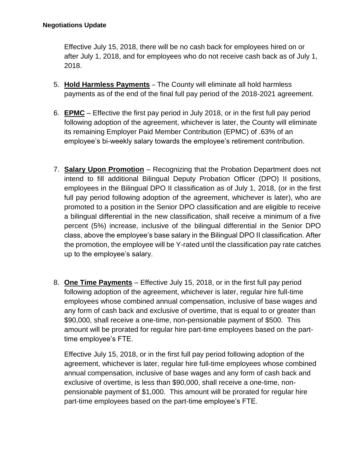Effective July 15, 2018, there will be no cash back for employees hired on or after July 1, 2018, and for employees who do not receive cash back as of July 1, 2018.

- 5. **Hold Harmless Payments** The County will eliminate all hold harmless payments as of the end of the final full pay period of the 2018-2021 agreement.
- 6. **EPMC** Effective the first pay period in July 2018, or in the first full pay period following adoption of the agreement, whichever is later, the County will eliminate its remaining Employer Paid Member Contribution (EPMC) of .63% of an employee's bi-weekly salary towards the employee's retirement contribution.
- 7. **Salary Upon Promotion** Recognizing that the Probation Department does not intend to fill additional Bilingual Deputy Probation Officer (DPO) II positions, employees in the Bilingual DPO II classification as of July 1, 2018, (or in the first full pay period following adoption of the agreement, whichever is later), who are promoted to a position in the Senior DPO classification and are eligible to receive a bilingual differential in the new classification, shall receive a minimum of a five percent (5%) increase, inclusive of the bilingual differential in the Senior DPO class, above the employee's base salary in the Bilingual DPO II classification. After the promotion, the employee will be Y-rated until the classification pay rate catches up to the employee's salary.
- 8. **One Time Payments** Effective July 15, 2018, or in the first full pay period following adoption of the agreement, whichever is later, regular hire full-time employees whose combined annual compensation, inclusive of base wages and any form of cash back and exclusive of overtime, that is equal to or greater than \$90,000, shall receive a one-time, non-pensionable payment of \$500. This amount will be prorated for regular hire part-time employees based on the parttime employee's FTE.

Effective July 15, 2018, or in the first full pay period following adoption of the agreement, whichever is later, regular hire full-time employees whose combined annual compensation, inclusive of base wages and any form of cash back and exclusive of overtime, is less than \$90,000, shall receive a one-time, nonpensionable payment of \$1,000. This amount will be prorated for regular hire part-time employees based on the part-time employee's FTE.